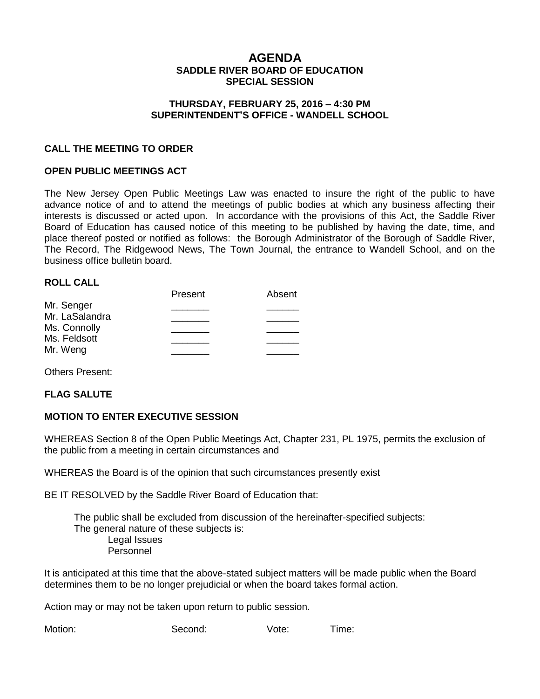# **AGENDA SADDLE RIVER BOARD OF EDUCATION SPECIAL SESSION**

#### **THURSDAY, FEBRUARY 25, 2016 – 4:30 PM SUPERINTENDENT'S OFFICE - WANDELL SCHOOL**

## **CALL THE MEETING TO ORDER**

## **OPEN PUBLIC MEETINGS ACT**

The New Jersey Open Public Meetings Law was enacted to insure the right of the public to have advance notice of and to attend the meetings of public bodies at which any business affecting their interests is discussed or acted upon. In accordance with the provisions of this Act, the Saddle River Board of Education has caused notice of this meeting to be published by having the date, time, and place thereof posted or notified as follows: the Borough Administrator of the Borough of Saddle River, The Record, The Ridgewood News, The Town Journal, the entrance to Wandell School, and on the business office bulletin board.

#### **ROLL CALL**

|                | Present | Absent |
|----------------|---------|--------|
| Mr. Senger     |         |        |
| Mr. LaSalandra |         |        |
| Ms. Connolly   |         |        |
| Ms. Feldsott   |         |        |
| Mr. Weng       |         |        |
|                |         |        |

Others Present:

#### **FLAG SALUTE**

#### **MOTION TO ENTER EXECUTIVE SESSION**

WHEREAS Section 8 of the Open Public Meetings Act, Chapter 231, PL 1975, permits the exclusion of the public from a meeting in certain circumstances and

WHEREAS the Board is of the opinion that such circumstances presently exist

BE IT RESOLVED by the Saddle River Board of Education that:

 The public shall be excluded from discussion of the hereinafter-specified subjects: The general nature of these subjects is: Legal Issues Personnel

It is anticipated at this time that the above-stated subject matters will be made public when the Board determines them to be no longer prejudicial or when the board takes formal action.

Action may or may not be taken upon return to public session.

Motion: Second: Vote: Time: